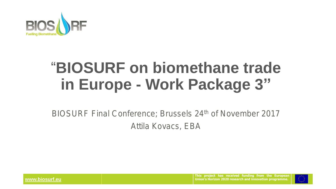

# **"BIOSURF on biomethane trade in Europe - Work Package 3"**

**BIOSURF Final Conference; Brussels 24th of November 2017 Attila Kovacs, EBA**

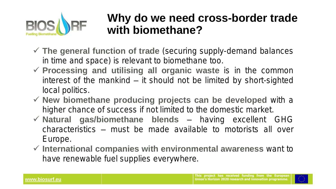

## **Why do we need cross-border trade with biomethane?**

- ✓ **The general function of trade (securing supply-demand balances in time and space) is relevant to biomethane too.**
- ✓ **Processing and utilising all organic waste is in the common interest of the mankind – it should not be limited by short-sighted local politics.**
- ✓ **New biomethane producing projects can be developed with a higher chance of success if not limited to the domestic market.**
- ✓ **Natural gas/biomethane blends – having excellent GHG characteristics – must be made available to motorists all over Europe.**
- ✓ **International companies with environmental awareness want to have renewable fuel supplies everywhere.**

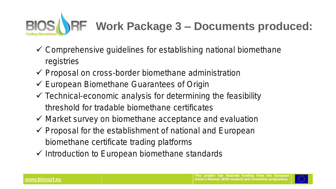# **Work Package 3 – Documents produced:**

- ✓ **Comprehensive guidelines for establishing national biomethane registries**
- ✓ **Proposal on cross-border biomethane administration**
- ✓ **European Biomethane Guarantees of Origin**
- ✓ **Technical-economic analysis for determining the feasibility threshold for tradable biomethane certificates**
- ✓ **Market survey on biomethane acceptance and evaluation**
- ✓ **Proposal for the establishment of national and European biomethane certificate trading platforms**
- ✓ **Introduction to European biomethane standards**

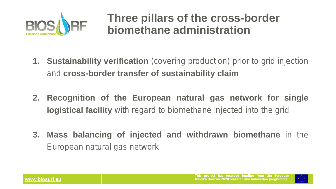

## **Three pillars of the cross-border biomethane administration**

- **1. Sustainability verification (covering production) prior to grid injection and cross-border transfer of sustainability claim**
- **2. Recognition of the European natural gas network for single logistical facility with regard to biomethane injected into the grid**
- **3. Mass balancing of injected and withdrawn biomethane in the European natural gas network**

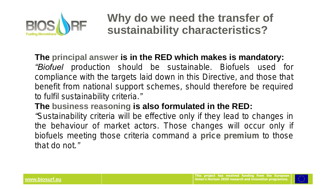

**Why do we need the transfer of sustainability characteristics?**

#### **The principal answer is in the RED which makes is mandatory:**

*"Biofuel production should be sustainable. Biofuels used for compliance with the targets laid down in this Directive, and those that benefit from national support schemes, should therefore be required to fulfil sustainability criteria."*

#### **The business reasoning is also formulated in the RED:**

*"Sustainability criteria will be effective only if they lead to changes in the behaviour of market actors. Those changes will occur only if biofuels meeting those criteria command a price premium to those that do not."*

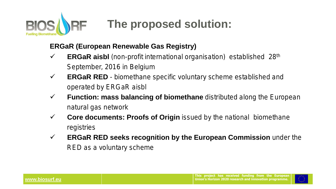

#### **ERGaR (European Renewable Gas Registry)**

- ✓ **ERGaR aisbl (non-profit international organisation) established 28th September, 2016 in Belgium**
- ✓ **ERGaR RED - biomethane specific voluntary scheme established and operated by ERGaR aisbl**
- ✓ **Function: mass balancing of biomethane distributed along the European natural gas network**
- ✓ **Core documents: Proofs of Origin issued by the national biomethane registries**
- ✓ **ERGaR RED seeks recognition by the European Commission under the RED as a voluntary scheme**

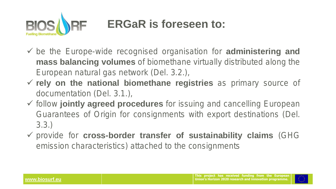

- ✓ **be the Europe-wide recognised organisation for administering and mass balancing volumes of biomethane virtually distributed along the European natural gas network (Del. 3.2.),**
- ✓ **rely on the national biomethane registries as primary source of documentation (Del. 3.1.),**
- ✓ **follow jointly agreed procedures for issuing and cancelling European Guarantees of Origin for consignments with export destinations (Del. 3.3.)**
- ✓ **provide for cross-border transfer of sustainability claims (GHG emission characteristics) attached to the consignments**

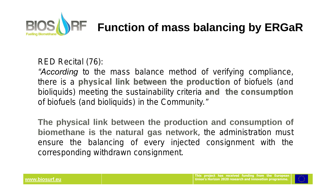

**RED Recital (76):**

*"According to the mass balance method of verifying compliance, there is a physical link between the production of biofuels (and bioliquids) meeting the sustainability criteria and the consumption of biofuels (and bioliquids) in the Community."*

**The physical link between the production and consumption of biomethane is the natural gas network, the administration must ensure the balancing of every injected consignment with the corresponding withdrawn consignment.**

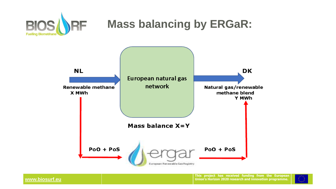





**www.biosurf.eu**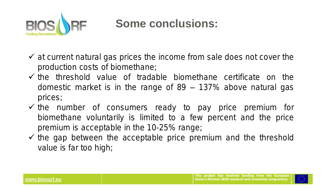

## **Some conclusions:**

- ✓ **at current natural gas prices the income from sale does not cover the production costs of biomethane;**
- ✓ **the threshold value of tradable biomethane certificate on the domestic market is in the range of 89 – 137% above natural gas prices;**
- ✓ **the number of consumers ready to pay price premium for biomethane voluntarily is limited to a few percent and the price premium is acceptable in the 10-25% range;**
- ✓ **the gap between the acceptable price premium and the threshold value is far too high;**

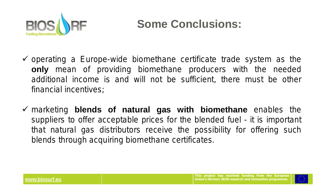

## **Some Conclusions:**

- ✓ **operating a Europe-wide biomethane certificate trade system as the only mean of providing biomethane producers with the needed additional income is and will not be sufficient, there must be other financial incentives;**
- ✓ **marketing blends of natural gas with biomethane enables the suppliers to offer acceptable prices for the blended fuel - it is important that natural gas distributors receive the possibility for offering such blends through acquiring biomethane certificates.**